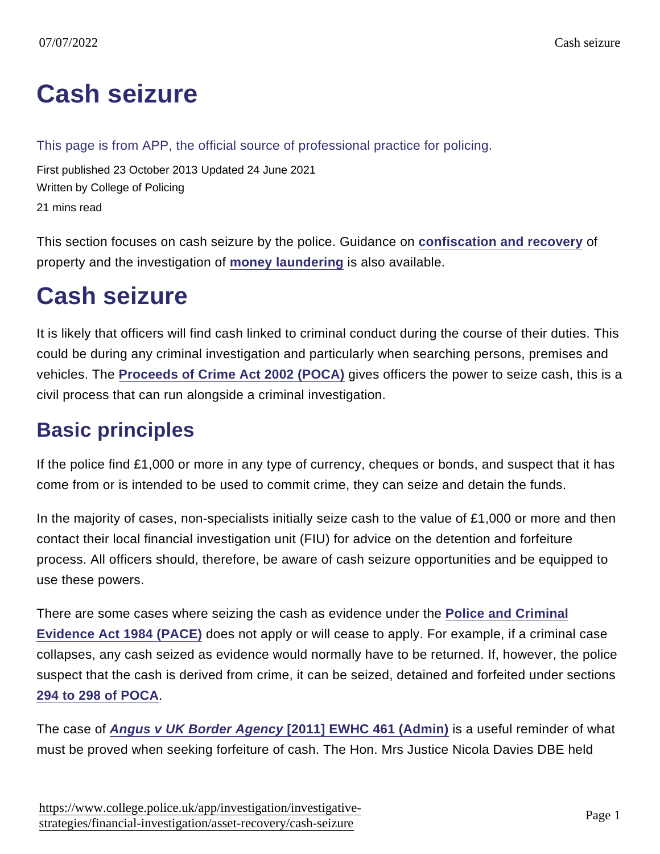# [Cash seizure](https://www.college.police.uk/app/investigation/investigative-strategies/financial-investigation/asset-recovery/cash-seizure)

This page is from APP, the official source of professional practice for policing.

First published 23 October 2013 Updated 24 June 2021 Written by College of Policing 21 mins read

This section focuses on cash seizure by the police. Guidance on [confiscation and recovery](https://www.app.college.police.uk/app-content/investigations/investigative-strategies/financial-investigation-2/asset-recovery/confiscation-and-recovery/) of property and the investigation of [money laundering](https://www.app.college.police.uk/app-content/investigations/investigative-strategies/financial-investigation-2/money-laundering/) is also available.

# Cash seizure

It is likely that officers will find cash linked to criminal conduct during the course of their duties. This could be during any criminal investigation and particularly when searching persons, premises and vehicles. The [Proceeds of Crime Act 2002 \(POCA\)](http://www.legislation.gov.uk/ukpga/2002/29/contents) gives officers the power to seize cash, this is a civil process that can run alongside a criminal investigation.

## Basic principles

If the police find £1,000 or more in any type of currency, cheques or bonds, and suspect that it has come from or is intended to be used to commit crime, they can seize and detain the funds.

In the majority of cases, non-specialists initially seize cash to the value of £1,000 or more and then contact their local financial investigation unit (FIU) for advice on the detention and forfeiture process. All officers should, therefore, be aware of cash seizure opportunities and be equipped to use these powers.

There are some cases where seizing the cash as evidence under the [Police and Criminal](https://www.gov.uk/guidance/police-and-criminal-evidence-act-1984-pace-codes-of-practice) [Evidence Act 1984 \(PACE\)](https://www.gov.uk/guidance/police-and-criminal-evidence-act-1984-pace-codes-of-practice) does not apply or will cease to apply. For example, if a criminal case collapses, any cash seized as evidence would normally have to be returned. If, however, the police suspect that the cash is derived from crime, it can be seized, detained and forfeited under sections [294 to 298 of POCA](http://www.legislation.gov.uk/ukpga/2002/29/part/5/chapter/3/crossheading/seizure-and-detention) .

The case of [Angus v UK Border Agency \[2011\] EWHC 461 \(Admin\)](http://www.bailii.org/ew/cases/EWHC/Admin/2011/461.html) is a useful reminder of what must be proved when seeking forfeiture of cash. The Hon. Mrs Justice Nicola Davies DBE held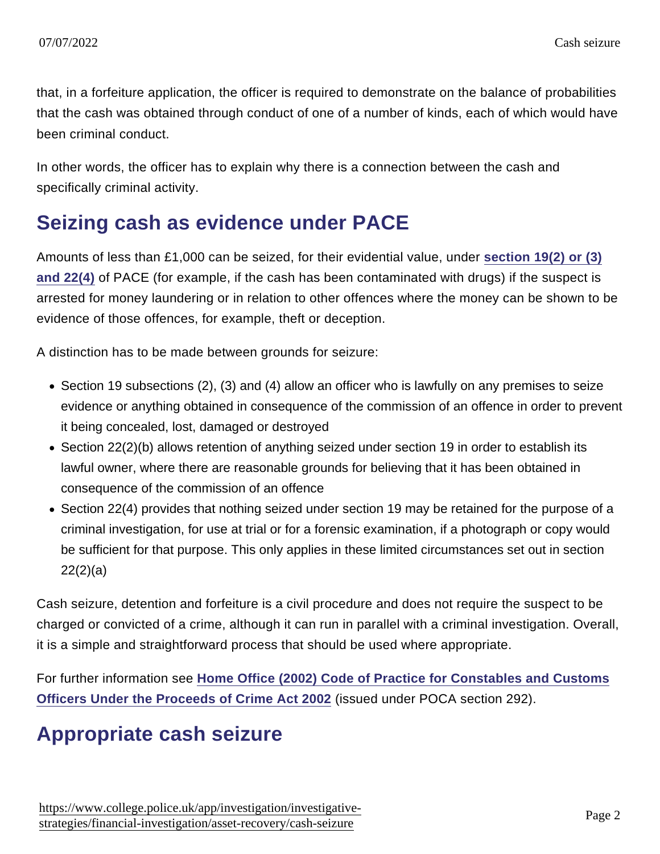that, in a forfeiture application, the officer is required to demonstrate on the balance of probabilities that the cash was obtained through conduct of one of a number of kinds, each of which would have been criminal conduct.

In other words, the officer has to explain why there is a connection between the cash and specifically criminal activity.

### Seizing cash as evidence under PACE

Amounts of less than £1,000 can be seized, for their evidential value, under [section 19\(2\) or \(3\)](https://www.gov.uk/guidance/police-and-criminal-evidence-act-1984-pace-codes-of-practice) [and 22\(4\)](https://www.gov.uk/guidance/police-and-criminal-evidence-act-1984-pace-codes-of-practice) of PACE (for example, if the cash has been contaminated with drugs) if the suspect is arrested for money laundering or in relation to other offences where the money can be shown to be evidence of those offences, for example, theft or deception.

A distinction has to be made between grounds for seizure:

- Section 19 subsections (2), (3) and (4) allow an officer who is lawfully on any premises to seize evidence or anything obtained in consequence of the commission of an offence in order to prevent it being concealed, lost, damaged or destroyed
- Section 22(2)(b) allows retention of anything seized under section 19 in order to establish its lawful owner, where there are reasonable grounds for believing that it has been obtained in consequence of the commission of an offence
- Section 22(4) provides that nothing seized under section 19 may be retained for the purpose of a criminal investigation, for use at trial or for a forensic examination, if a photograph or copy would be sufficient for that purpose. This only applies in these limited circumstances set out in section 22(2)(a)

Cash seizure, detention and forfeiture is a civil procedure and does not require the suspect to be charged or convicted of a crime, although it can run in parallel with a criminal investigation. Overall, it is a simple and straightforward process that should be used where appropriate.

For further information see [Home Office \(2002\) Code of Practice for Constables and Customs](http://webarchive.nationalarchives.gov.uk/20091207102522/http://www.homeoffice.gov.uk/documents/cons-2002-constables-customs?view=Binary) [Officers Under the Proceeds of Crime Act 2002](http://webarchive.nationalarchives.gov.uk/20091207102522/http://www.homeoffice.gov.uk/documents/cons-2002-constables-customs?view=Binary) (issued under POCA section 292).

### Appropriate cash seizure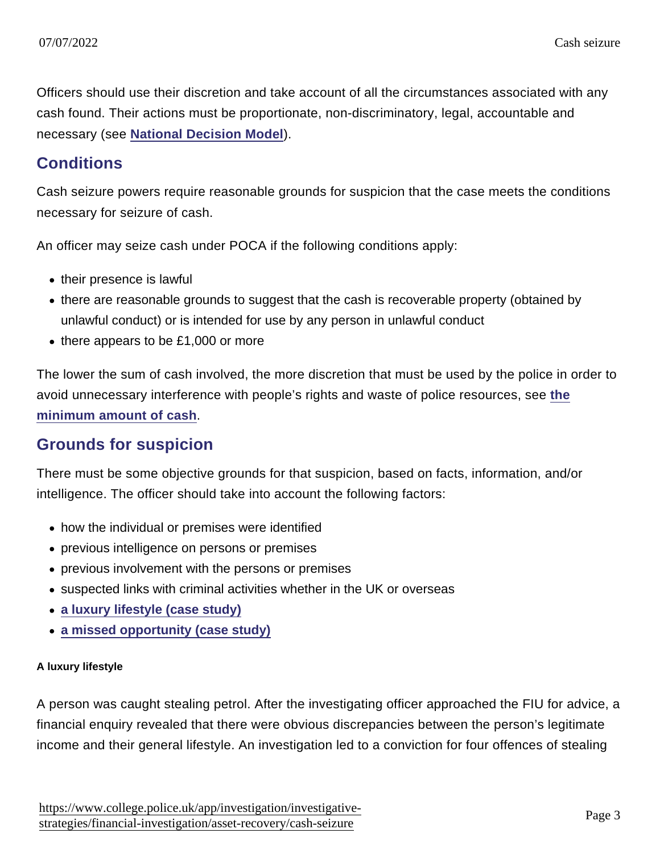Officers should use their discretion and take account of all the circumstances associated with any cash found. Their actions must be proportionate, non-discriminatory, legal, accountable and necessary (see [National Decision Model](https://www.app.college.police.uk/app-content/national-decision-model/?s=) ).

#### **Conditions**

Cash seizure powers require reasonable grounds for suspicion that the case meets the conditions necessary for seizure of cash.

An officer may seize cash under POCA if the following conditions apply:

- their presence is lawful
- there are reasonable grounds to suggest that the cash is recoverable property (obtained by unlawful conduct) or is intended for use by any person in unlawful conduct
- $\bullet$  there appears to be £1,000 or more

The lower the sum of cash involved, the more discretion that must be used by the police in order to avoid unnecessary interference with people's rights and waste of police resources, see [the](https://www.app.college.police.uk/app-content/investigations/investigative-strategies/financial-investigation-2/asset-recovery/cash-seizure/#minimum-amount-of-cash) [minimum amount of cash](https://www.app.college.police.uk/app-content/investigations/investigative-strategies/financial-investigation-2/asset-recovery/cash-seizure/#minimum-amount-of-cash) .

#### Grounds for suspicion

There must be some objective grounds for that suspicion, based on facts, information, and/or intelligence. The officer should take into account the following factors:

- how the individual or premises were identified
- previous intelligence on persons or premises
- previous involvement with the persons or premises
- suspected links with criminal activities whether in the UK or overseas
- [a luxury lifestyle \(case study\)](https://www.app.college.police.uk/app-content/investigations/investigative-strategies/financial-investigation-2/asset-recovery/cash-seizure/#zilla-tab-a-luxury-lifestyle-case-study)
- [a missed opportunity \(case study\)](https://www.app.college.police.uk/app-content/investigations/investigative-strategies/financial-investigation-2/asset-recovery/cash-seizure/#zilla-tab-a-missed-opportunity-case-study)

#### A luxury lifestyle

A person was caught stealing petrol. After the investigating officer approached the FIU for advice, a financial enquiry revealed that there were obvious discrepancies between the person's legitimate income and their general lifestyle. An investigation led to a conviction for four offences of stealing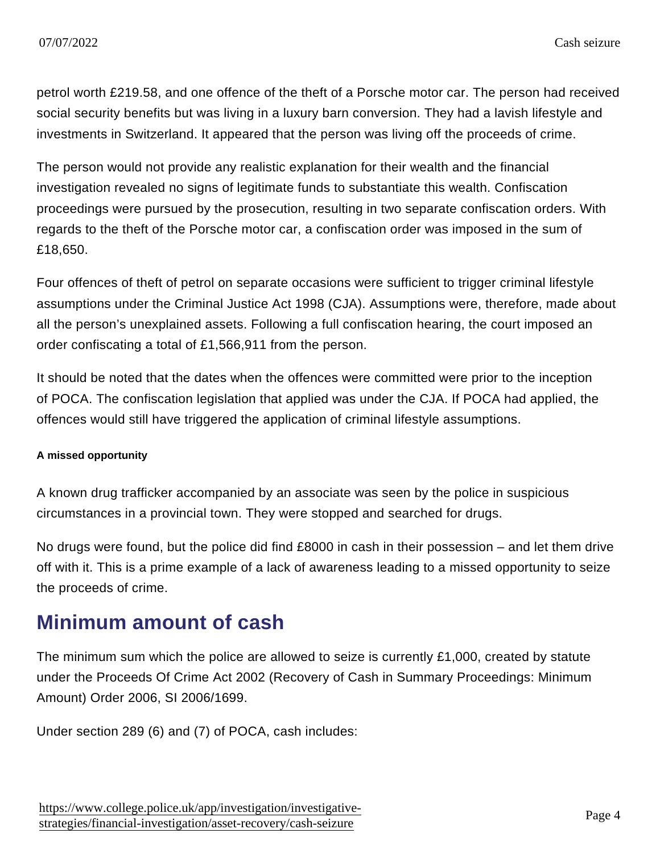petrol worth £219.58, and one offence of the theft of a Porsche motor car. The person had received social security benefits but was living in a luxury barn conversion. They had a lavish lifestyle and investments in Switzerland. It appeared that the person was living off the proceeds of crime.

The person would not provide any realistic explanation for their wealth and the financial investigation revealed no signs of legitimate funds to substantiate this wealth. Confiscation proceedings were pursued by the prosecution, resulting in two separate confiscation orders. With regards to the theft of the Porsche motor car, a confiscation order was imposed in the sum of £18,650.

Four offences of theft of petrol on separate occasions were sufficient to trigger criminal lifestyle assumptions under the Criminal Justice Act 1998 (CJA). Assumptions were, therefore, made about all the person's unexplained assets. Following a full confiscation hearing, the court imposed an order confiscating a total of £1,566,911 from the person.

It should be noted that the dates when the offences were committed were prior to the inception of POCA. The confiscation legislation that applied was under the CJA. If POCA had applied, the offences would still have triggered the application of criminal lifestyle assumptions.

A missed opportunity

A known drug trafficker accompanied by an associate was seen by the police in suspicious circumstances in a provincial town. They were stopped and searched for drugs.

No drugs were found, but the police did find £8000 in cash in their possession – and let them drive off with it. This is a prime example of a lack of awareness leading to a missed opportunity to seize the proceeds of crime.

### Minimum amount of cash

The minimum sum which the police are allowed to seize is currently £1,000, created by statute under the Proceeds Of Crime Act 2002 (Recovery of Cash in Summary Proceedings: Minimum Amount) Order 2006, SI 2006/1699.

Under section 289 (6) and (7) of POCA, cash includes: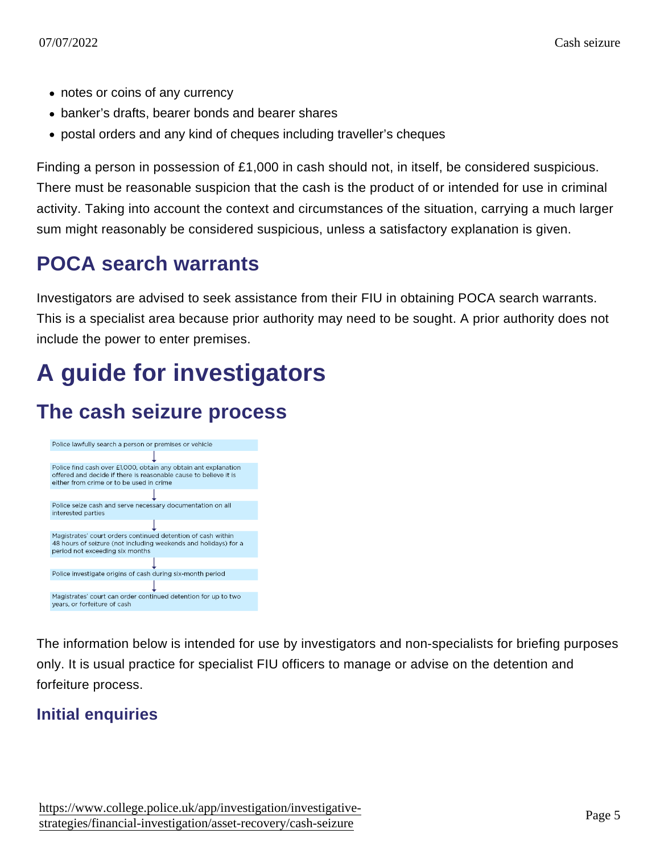- notes or coins of any currency
- banker's drafts, bearer bonds and bearer shares
- postal orders and any kind of cheques including traveller's cheques

Finding a person in possession of £1,000 in cash should not, in itself, be considered suspicious. There must be reasonable suspicion that the cash is the product of or intended for use in criminal activity. Taking into account the context and circumstances of the situation, carrying a much larger sum might reasonably be considered suspicious, unless a satisfactory explanation is given.

### POCA search warrants

Investigators are advised to seek assistance from their FIU in obtaining POCA search warrants. This is a specialist area because prior authority may need to be sought. A prior authority does not include the power to enter premises.

# A guide for investigators

### The cash seizure process

The information below is intended for use by investigators and non-specialists for briefing purposes only. It is usual practice for specialist FIU officers to manage or advise on the detention and forfeiture process.

Initial enquiries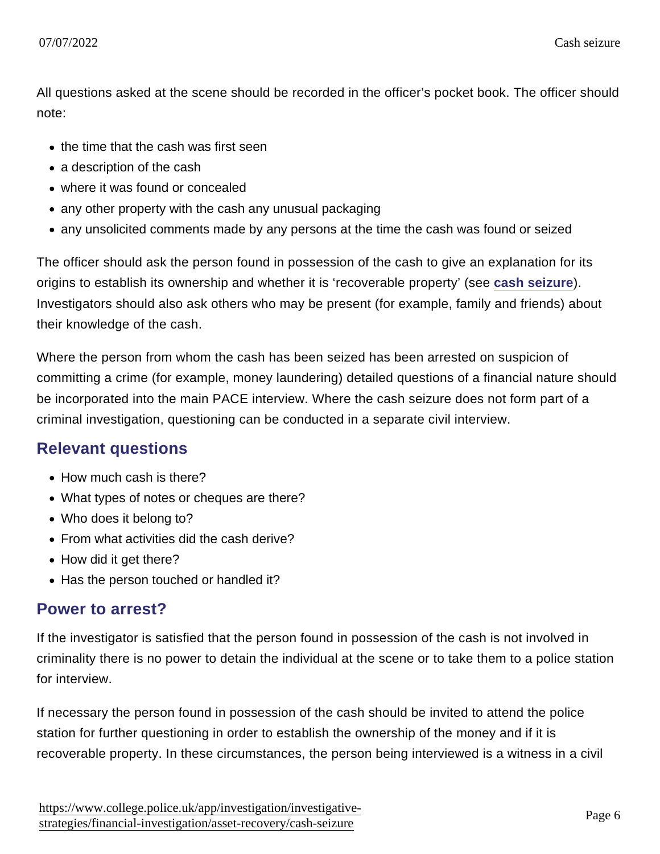All questions asked at the scene should be recorded in the officer's pocket book. The officer should note:

- the time that the cash was first seen
- a description of the cash
- where it was found or concealed
- any other property with the cash any unusual packaging
- any unsolicited comments made by any persons at the time the cash was found or seized

The officer should ask the person found in possession of the cash to give an explanation for its origins to establish its ownership and whether it is 'recoverable property' (see [cash seizure](https://www.app.college.police.uk/app-content/investigations/investigative-strategies/financial-investigation-2/asset-recovery/cash-seizure/#cash-seizure) ). Investigators should also ask others who may be present (for example, family and friends) about their knowledge of the cash.

Where the person from whom the cash has been seized has been arrested on suspicion of committing a crime (for example, money laundering) detailed questions of a financial nature should be incorporated into the main PACE interview. Where the cash seizure does not form part of a criminal investigation, questioning can be conducted in a separate civil interview.

#### Relevant questions

- How much cash is there?
- What types of notes or cheques are there?
- Who does it belong to?
- From what activities did the cash derive?
- How did it get there?
- Has the person touched or handled it?

#### Power to arrest?

If the investigator is satisfied that the person found in possession of the cash is not involved in criminality there is no power to detain the individual at the scene or to take them to a police station for interview.

If necessary the person found in possession of the cash should be invited to attend the police station for further questioning in order to establish the ownership of the money and if it is recoverable property. In these circumstances, the person being interviewed is a witness in a civil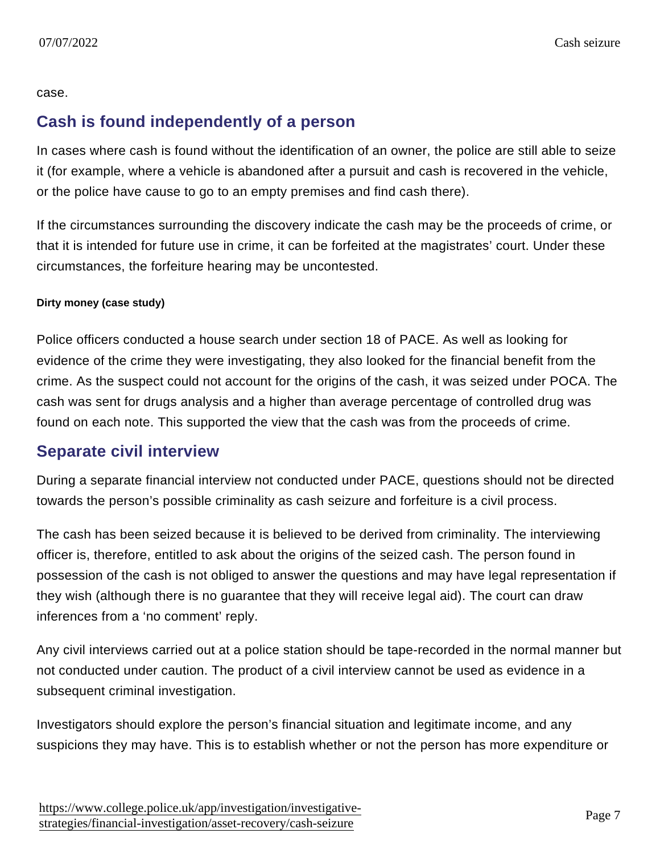#### case.

#### Cash is found independently of a person

In cases where cash is found without the identification of an owner, the police are still able to seize it (for example, where a vehicle is abandoned after a pursuit and cash is recovered in the vehicle, or the police have cause to go to an empty premises and find cash there).

If the circumstances surrounding the discovery indicate the cash may be the proceeds of crime, or that it is intended for future use in crime, it can be forfeited at the magistrates' court. Under these circumstances, the forfeiture hearing may be uncontested.

#### Dirty money (case study)

Police officers conducted a house search under section 18 of PACE. As well as looking for evidence of the crime they were investigating, they also looked for the financial benefit from the crime. As the suspect could not account for the origins of the cash, it was seized under POCA. The cash was sent for drugs analysis and a higher than average percentage of controlled drug was found on each note. This supported the view that the cash was from the proceeds of crime.

#### Separate civil interview

During a separate financial interview not conducted under PACE, questions should not be directed towards the person's possible criminality as cash seizure and forfeiture is a civil process.

The cash has been seized because it is believed to be derived from criminality. The interviewing officer is, therefore, entitled to ask about the origins of the seized cash. The person found in possession of the cash is not obliged to answer the questions and may have legal representation if they wish (although there is no guarantee that they will receive legal aid). The court can draw inferences from a 'no comment' reply.

Any civil interviews carried out at a police station should be tape-recorded in the normal manner but not conducted under caution. The product of a civil interview cannot be used as evidence in a subsequent criminal investigation.

Investigators should explore the person's financial situation and legitimate income, and any suspicions they may have. This is to establish whether or not the person has more expenditure or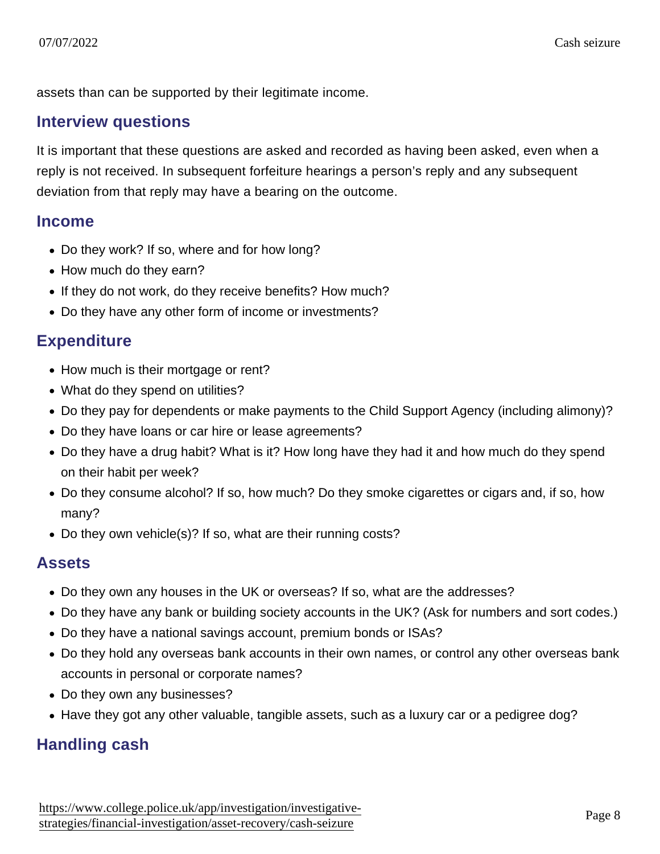assets than can be supported by their legitimate income.

#### Interview questions

It is important that these questions are asked and recorded as having been asked, even when a reply is not received. In subsequent forfeiture hearings a person's reply and any subsequent deviation from that reply may have a bearing on the outcome.

#### Income

- Do they work? If so, where and for how long?
- How much do they earn?
- If they do not work, do they receive benefits? How much?
- Do they have any other form of income or investments?

#### **Expenditure**

- How much is their mortgage or rent?
- What do they spend on utilities?
- Do they pay for dependents or make payments to the Child Support Agency (including alimony)?
- Do they have loans or car hire or lease agreements?
- Do they have a drug habit? What is it? How long have they had it and how much do they spend on their habit per week?
- Do they consume alcohol? If so, how much? Do they smoke cigarettes or cigars and, if so, how many?
- Do they own vehicle(s)? If so, what are their running costs?

#### Assets

- Do they own any houses in the UK or overseas? If so, what are the addresses?
- Do they have any bank or building society accounts in the UK? (Ask for numbers and sort codes.)
- Do they have a national savings account, premium bonds or ISAs?
- Do they hold any overseas bank accounts in their own names, or control any other overseas bank accounts in personal or corporate names?
- Do they own any businesses?
- Have they got any other valuable, tangible assets, such as a luxury car or a pedigree dog?

### Handling cash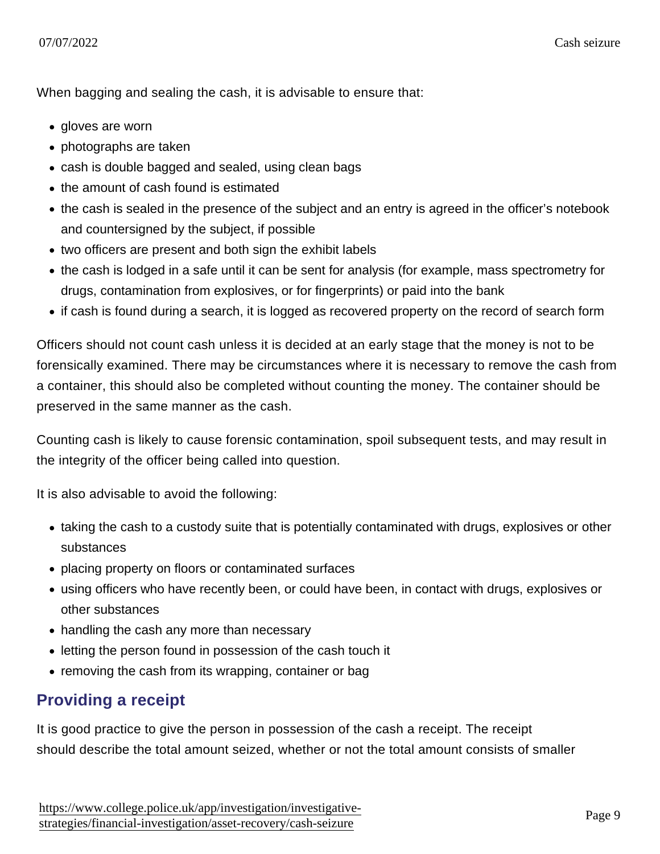When bagging and sealing the cash, it is advisable to ensure that:

- gloves are worn
- photographs are taken
- cash is double bagged and sealed, using clean bags
- the amount of cash found is estimated
- the cash is sealed in the presence of the subject and an entry is agreed in the officer's notebook and countersigned by the subject, if possible
- two officers are present and both sign the exhibit labels
- the cash is lodged in a safe until it can be sent for analysis (for example, mass spectrometry for drugs, contamination from explosives, or for fingerprints) or paid into the bank
- if cash is found during a search, it is logged as recovered property on the record of search form

Officers should not count cash unless it is decided at an early stage that the money is not to be forensically examined. There may be circumstances where it is necessary to remove the cash from a container, this should also be completed without counting the money. The container should be preserved in the same manner as the cash.

Counting cash is likely to cause forensic contamination, spoil subsequent tests, and may result in the integrity of the officer being called into question.

It is also advisable to avoid the following:

- taking the cash to a custody suite that is potentially contaminated with drugs, explosives or other substances
- placing property on floors or contaminated surfaces
- using officers who have recently been, or could have been, in contact with drugs, explosives or other substances
- handling the cash any more than necessary
- letting the person found in possession of the cash touch it
- removing the cash from its wrapping, container or bag

#### Providing a receipt

It is good practice to give the person in possession of the cash a receipt. The receipt should describe the total amount seized, whether or not the total amount consists of smaller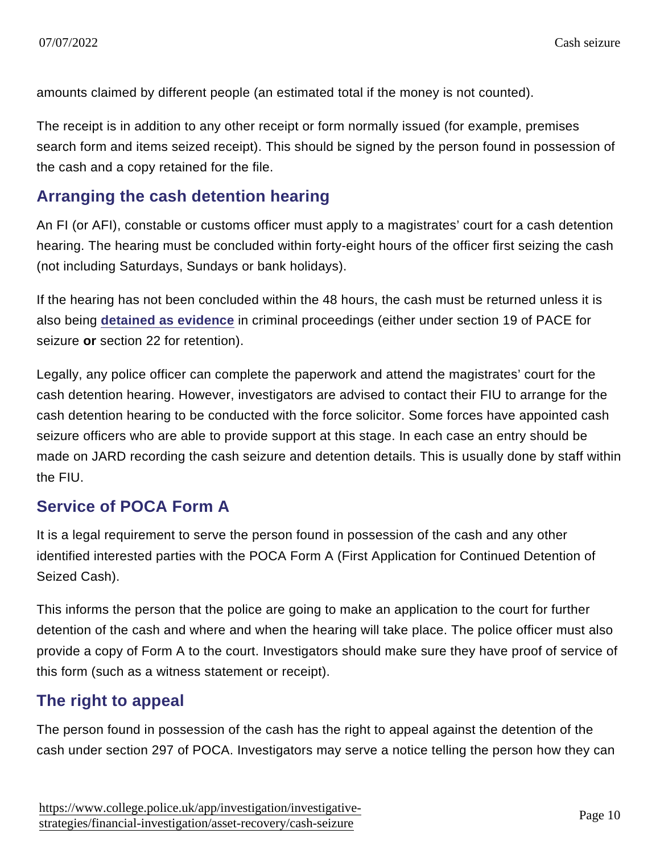amounts claimed by different people (an estimated total if the money is not counted).

The receipt is in addition to any other receipt or form normally issued (for example, premises search form and items seized receipt). This should be signed by the person found in possession of the cash and a copy retained for the file.

### Arranging the cash detention hearing

An FI (or AFI), constable or customs officer must apply to a magistrates' court for a cash detention hearing. The hearing must be concluded within forty-eight hours of the officer first seizing the cash (not including Saturdays, Sundays or bank holidays).

If the hearing has not been concluded within the 48 hours, the cash must be returned unless it is also being [detained as evidence](https://www.app.college.police.uk/app-content/investigations/investigative-strategies/financial-investigation-2/asset-recovery/cash-seizure/#seizing-cash-as-evidence-under-pace) in criminal proceedings (either under section 19 of PACE for seizure or section 22 for retention).

Legally, any police officer can complete the paperwork and attend the magistrates' court for the cash detention hearing. However, investigators are advised to contact their FIU to arrange for the cash detention hearing to be conducted with the force solicitor. Some forces have appointed cash seizure officers who are able to provide support at this stage. In each case an entry should be made on JARD recording the cash seizure and detention details. This is usually done by staff within the FIU.

### Service of POCA Form A

It is a legal requirement to serve the person found in possession of the cash and any other identified interested parties with the POCA Form A (First Application for Continued Detention of Seized Cash).

This informs the person that the police are going to make an application to the court for further detention of the cash and where and when the hearing will take place. The police officer must also provide a copy of Form A to the court. Investigators should make sure they have proof of service of this form (such as a witness statement or receipt).

### The right to appeal

The person found in possession of the cash has the right to appeal against the detention of the cash under section 297 of POCA. Investigators may serve a notice telling the person how they can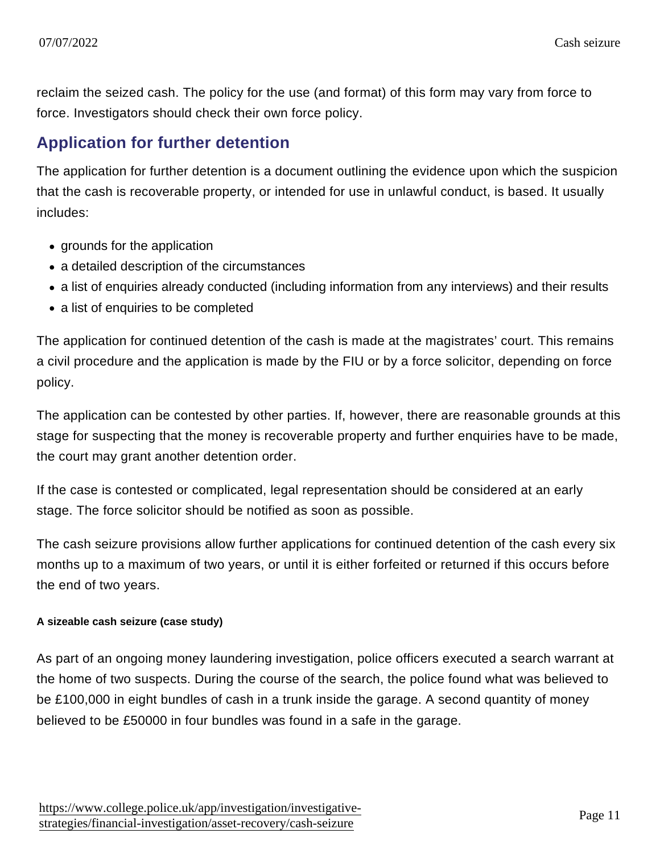reclaim the seized cash. The policy for the use (and format) of this form may vary from force to force. Investigators should check their own force policy.

### Application for further detention

The application for further detention is a document outlining the evidence upon which the suspicion that the cash is recoverable property, or intended for use in unlawful conduct, is based. It usually includes:

- grounds for the application
- a detailed description of the circumstances
- a list of enquiries already conducted (including information from any interviews) and their results
- a list of enquiries to be completed

The application for continued detention of the cash is made at the magistrates' court. This remains a civil procedure and the application is made by the FIU or by a force solicitor, depending on force policy.

The application can be contested by other parties. If, however, there are reasonable grounds at this stage for suspecting that the money is recoverable property and further enquiries have to be made, the court may grant another detention order.

If the case is contested or complicated, legal representation should be considered at an early stage. The force solicitor should be notified as soon as possible.

The cash seizure provisions allow further applications for continued detention of the cash every six months up to a maximum of two years, or until it is either forfeited or returned if this occurs before the end of two years.

A sizeable cash seizure (case study)

As part of an ongoing money laundering investigation, police officers executed a search warrant at the home of two suspects. During the course of the search, the police found what was believed to be £100,000 in eight bundles of cash in a trunk inside the garage. A second quantity of money believed to be £50000 in four bundles was found in a safe in the garage.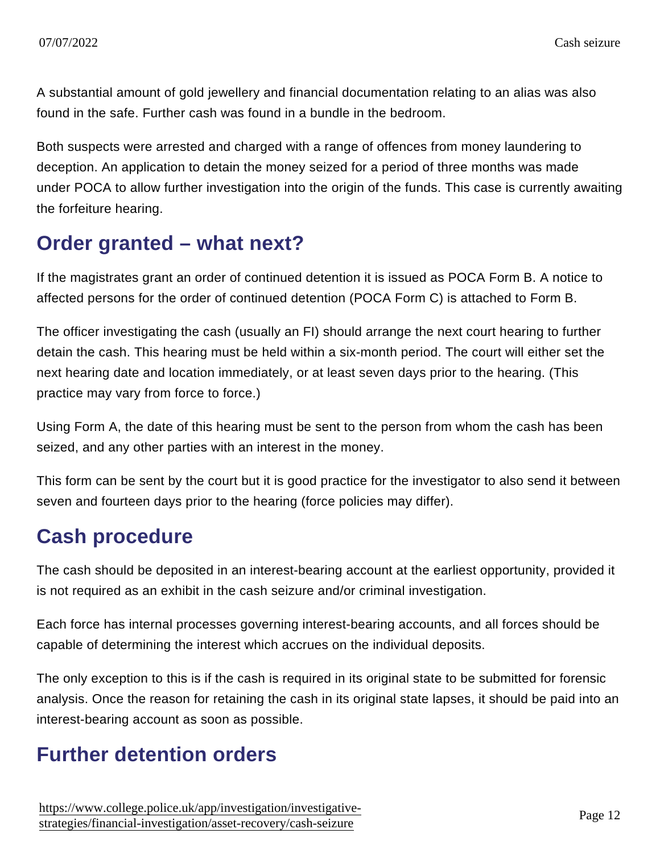A substantial amount of gold jewellery and financial documentation relating to an alias was also found in the safe. Further cash was found in a bundle in the bedroom.

Both suspects were arrested and charged with a range of offences from money laundering to deception. An application to detain the money seized for a period of three months was made under POCA to allow further investigation into the origin of the funds. This case is currently awaiting the forfeiture hearing.

### Order granted – what next?

If the magistrates grant an order of continued detention it is issued as POCA Form B. A notice to affected persons for the order of continued detention (POCA Form C) is attached to Form B.

The officer investigating the cash (usually an FI) should arrange the next court hearing to further detain the cash. This hearing must be held within a six-month period. The court will either set the next hearing date and location immediately, or at least seven days prior to the hearing. (This practice may vary from force to force.)

Using Form A, the date of this hearing must be sent to the person from whom the cash has been seized, and any other parties with an interest in the money.

This form can be sent by the court but it is good practice for the investigator to also send it between seven and fourteen days prior to the hearing (force policies may differ).

### Cash procedure

The cash should be deposited in an interest-bearing account at the earliest opportunity, provided it is not required as an exhibit in the cash seizure and/or criminal investigation.

Each force has internal processes governing interest-bearing accounts, and all forces should be capable of determining the interest which accrues on the individual deposits.

The only exception to this is if the cash is required in its original state to be submitted for forensic analysis. Once the reason for retaining the cash in its original state lapses, it should be paid into an interest-bearing account as soon as possible.

### Further detention orders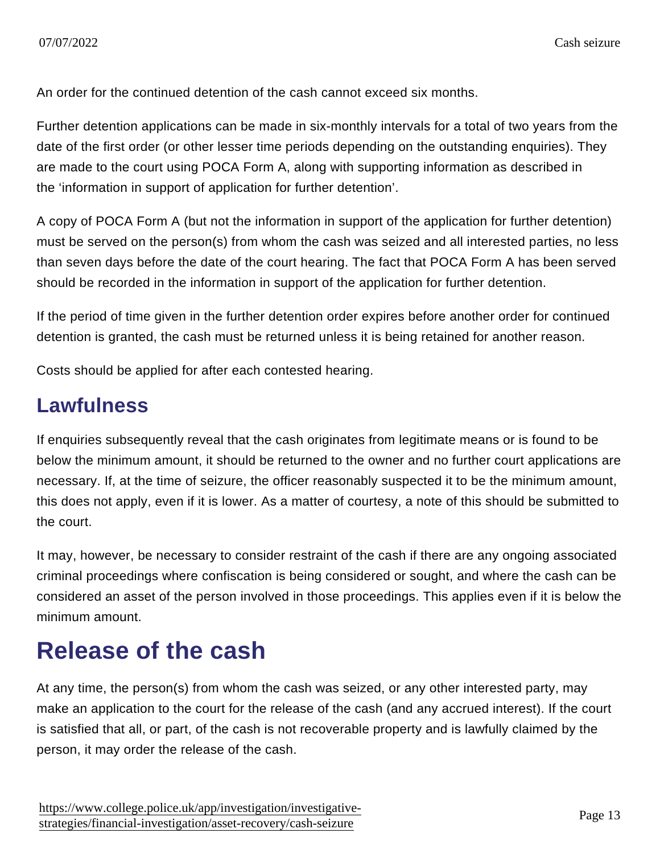An order for the continued detention of the cash cannot exceed six months.

Further detention applications can be made in six-monthly intervals for a total of two years from the date of the first order (or other lesser time periods depending on the outstanding enquiries). They are made to the court using POCA Form A, along with supporting information as described in the 'information in support of application for further detention'.

A copy of POCA Form A (but not the information in support of the application for further detention) must be served on the person(s) from whom the cash was seized and all interested parties, no less than seven days before the date of the court hearing. The fact that POCA Form A has been served should be recorded in the information in support of the application for further detention.

If the period of time given in the further detention order expires before another order for continued detention is granted, the cash must be returned unless it is being retained for another reason.

Costs should be applied for after each contested hearing.

### Lawfulness

If enquiries subsequently reveal that the cash originates from legitimate means or is found to be below the minimum amount, it should be returned to the owner and no further court applications are necessary. If, at the time of seizure, the officer reasonably suspected it to be the minimum amount, this does not apply, even if it is lower. As a matter of courtesy, a note of this should be submitted to the court.

It may, however, be necessary to consider restraint of the cash if there are any ongoing associated criminal proceedings where confiscation is being considered or sought, and where the cash can be considered an asset of the person involved in those proceedings. This applies even if it is below the minimum amount.

# Release of the cash

At any time, the person(s) from whom the cash was seized, or any other interested party, may make an application to the court for the release of the cash (and any accrued interest). If the court is satisfied that all, or part, of the cash is not recoverable property and is lawfully claimed by the person, it may order the release of the cash.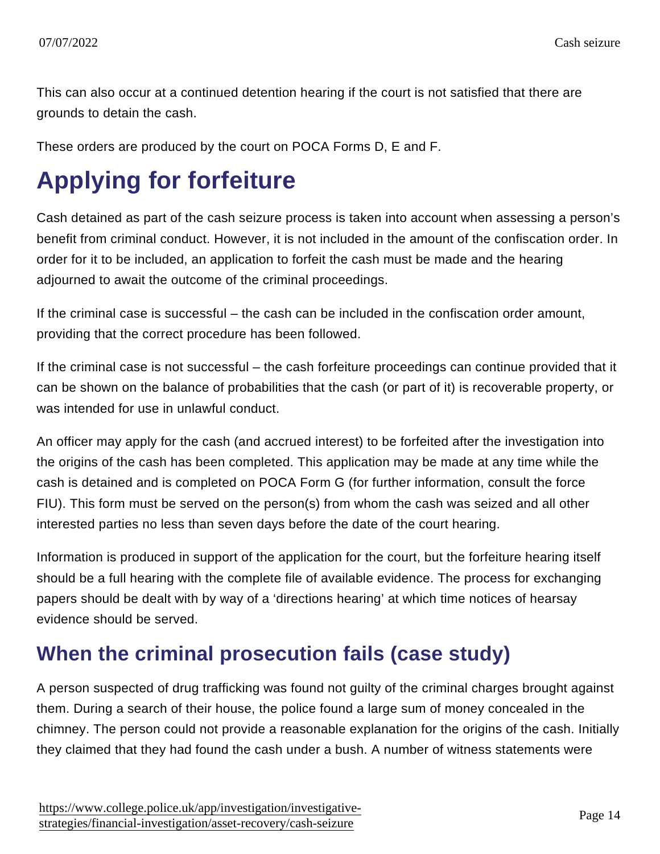This can also occur at a continued detention hearing if the court is not satisfied that there are grounds to detain the cash.

These orders are produced by the court on POCA Forms D, E and F.

# Applying for forfeiture

Cash detained as part of the cash seizure process is taken into account when assessing a person's benefit from criminal conduct. However, it is not included in the amount of the confiscation order. In order for it to be included, an application to forfeit the cash must be made and the hearing adjourned to await the outcome of the criminal proceedings.

If the criminal case is successful – the cash can be included in the confiscation order amount, providing that the correct procedure has been followed.

If the criminal case is not successful – the cash forfeiture proceedings can continue provided that it can be shown on the balance of probabilities that the cash (or part of it) is recoverable property, or was intended for use in unlawful conduct.

An officer may apply for the cash (and accrued interest) to be forfeited after the investigation into the origins of the cash has been completed. This application may be made at any time while the cash is detained and is completed on POCA Form G (for further information, consult the force FIU). This form must be served on the person(s) from whom the cash was seized and all other interested parties no less than seven days before the date of the court hearing.

Information is produced in support of the application for the court, but the forfeiture hearing itself should be a full hearing with the complete file of available evidence. The process for exchanging papers should be dealt with by way of a 'directions hearing' at which time notices of hearsay evidence should be served.

### When the criminal prosecution fails (case study)

A person suspected of drug trafficking was found not guilty of the criminal charges brought against them. During a search of their house, the police found a large sum of money concealed in the chimney. The person could not provide a reasonable explanation for the origins of the cash. Initially they claimed that they had found the cash under a bush. A number of witness statements were